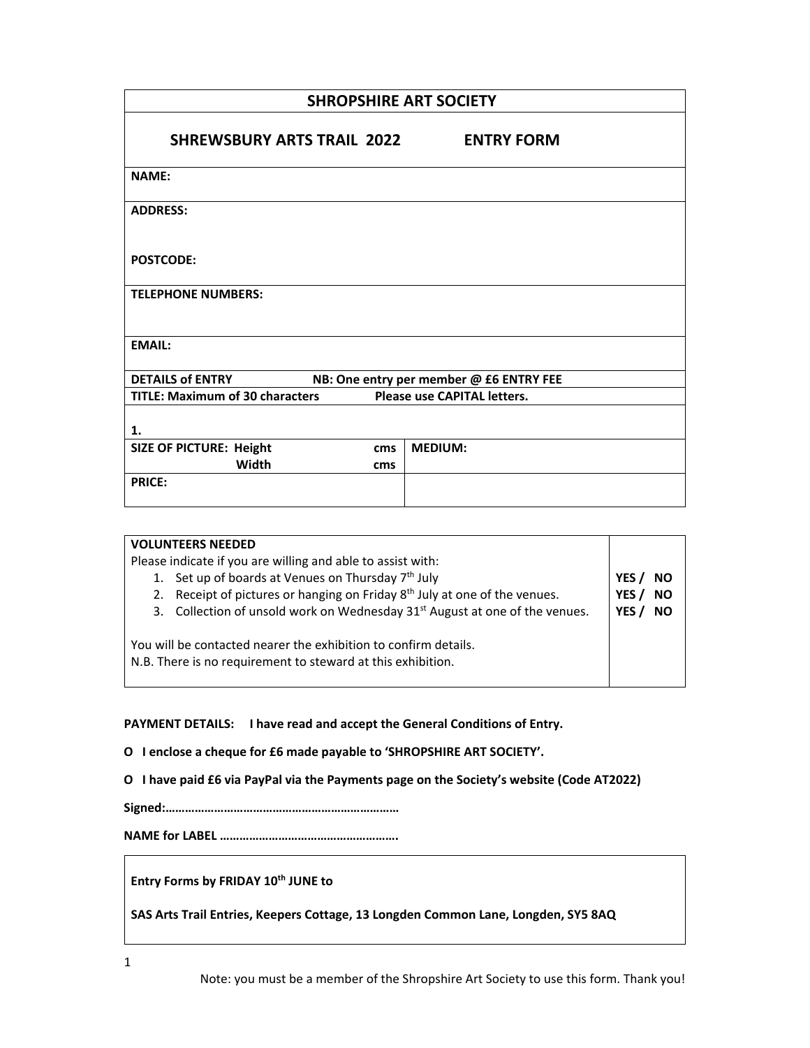| <b>SHROPSHIRE ART SOCIETY</b>                                                |                   |  |  |
|------------------------------------------------------------------------------|-------------------|--|--|
| <b>SHREWSBURY ARTS TRAIL 2022</b>                                            | <b>ENTRY FORM</b> |  |  |
| <b>NAME:</b>                                                                 |                   |  |  |
| <b>ADDRESS:</b>                                                              |                   |  |  |
| <b>POSTCODE:</b>                                                             |                   |  |  |
| <b>TELEPHONE NUMBERS:</b>                                                    |                   |  |  |
| <b>EMAIL:</b>                                                                |                   |  |  |
| <b>DETAILS of ENTRY</b><br>NB: One entry per member @ £6 ENTRY FEE           |                   |  |  |
| <b>TITLE: Maximum of 30 characters</b><br><b>Please use CAPITAL letters.</b> |                   |  |  |
| 1.                                                                           |                   |  |  |
| <b>SIZE OF PICTURE: Height</b><br>cms                                        | <b>MEDIUM:</b>    |  |  |
| Width<br>cms                                                                 |                   |  |  |
| <b>PRICE:</b>                                                                |                   |  |  |
|                                                                              |                   |  |  |

| <b>VOLUNTEERS NEEDED</b>                                                                                                       |                    |  |
|--------------------------------------------------------------------------------------------------------------------------------|--------------------|--|
| Please indicate if you are willing and able to assist with:                                                                    |                    |  |
| 1. Set up of boards at Venues on Thursday 7 <sup>th</sup> July                                                                 | YES<br><b>NO</b>   |  |
| Receipt of pictures or hanging on Friday 8 <sup>th</sup> July at one of the venues.<br>2.                                      | <b>NO</b><br>YES / |  |
| 3. Collection of unsold work on Wednesday 31 <sup>st</sup> August at one of the venues.                                        | <b>NO</b><br>YES.  |  |
| You will be contacted nearer the exhibition to confirm details.<br>N.B. There is no requirement to steward at this exhibition. |                    |  |

**PAYMENT DETAILS: I have read and accept the General Conditions of Entry.**

**O I enclose a cheque for £6 made payable to 'SHROPSHIRE ART SOCIETY'.**

**O I have paid £6 via PayPal via the Payments page on the Society's website (Code AT2022)**

**Signed:………………………………………………………………**

**NAME for LABEL ……………………………………………….**

**Entry Forms by FRIDAY 10th JUNE to** 

**SAS Arts Trail Entries, Keepers Cottage, 13 Longden Common Lane, Longden, SY5 8AQ**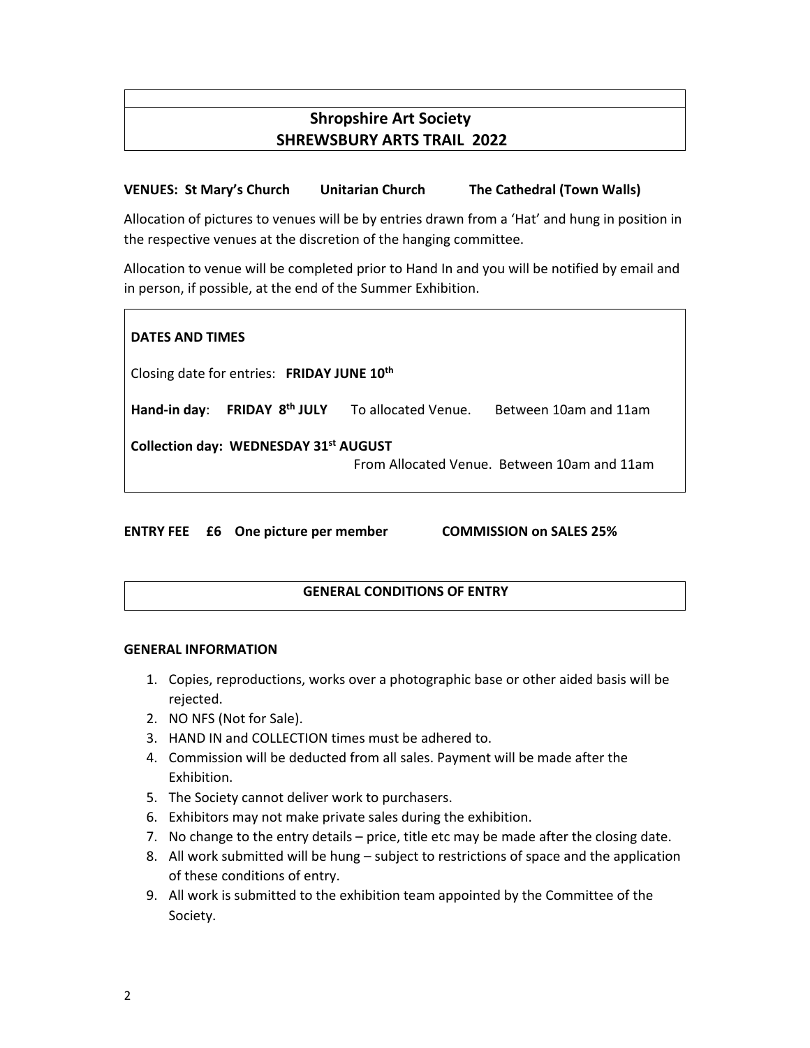# **Shropshire Art Society SHREWSBURY ARTS TRAIL 2022**

## **VENUES: St Mary's Church Unitarian Church The Cathedral (Town Walls)**

Allocation of pictures to venues will be by entries drawn from a 'Hat' and hung in position in the respective venues at the discretion of the hanging committee.

Allocation to venue will be completed prior to Hand In and you will be notified by email and in person, if possible, at the end of the Summer Exhibition.

| <b>DATES AND TIMES</b>                                                               |  |  |
|--------------------------------------------------------------------------------------|--|--|
| Closing date for entries: FRIDAY JUNE 10 <sup>th</sup>                               |  |  |
| Hand-in day: FRIDAY 8 <sup>th</sup> JULY To allocated Venue. Between 10am and 11am   |  |  |
| Collection day: WEDNESDAY 31st AUGUST<br>From Allocated Venue. Between 10am and 11am |  |  |

**ENTRY FEE £6 One picture per member COMMISSION on SALES 25%** 

### **GENERAL CONDITIONS OF ENTRY**

#### **GENERAL INFORMATION**

- 1. Copies, reproductions, works over a photographic base or other aided basis will be rejected.
- 2. NO NFS (Not for Sale).
- 3. HAND IN and COLLECTION times must be adhered to.
- 4. Commission will be deducted from all sales. Payment will be made after the Exhibition.
- 5. The Society cannot deliver work to purchasers.
- 6. Exhibitors may not make private sales during the exhibition.
- 7. No change to the entry details price, title etc may be made after the closing date.
- 8. All work submitted will be hung subject to restrictions of space and the application of these conditions of entry.
- 9. All work is submitted to the exhibition team appointed by the Committee of the Society.